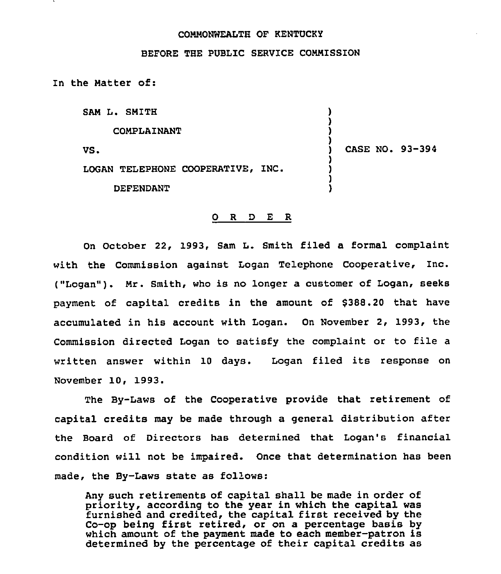## COMMONWEALTH OF KENTUCKI

## BEFORE THE PUBLIC SERVICE COMMISSION

In the Matter of:

SAM L. SMITH

COMPLAINANT

VS.

) CASE NO. 93-394

) ) ) )

) ) ) )

LOGAN TELEPHONE COOPERATIVE, INC.

DEFENDANT

## 0 R <sup>D</sup> E <sup>R</sup>

On October 22, 1993, Sam L. Smith filed a formal complaint with the Commission against Logan Telephone Cooperative, Inc. ("Logan" ). Mr. Smith, who is no longer <sup>a</sup> customer of Logan, seeks payment of capital credits in the amount of \$388.20 that have accumulated in his account with Logan. On November 2, 1993, the Commission directed Logan to satisfy the complaint or to file <sup>a</sup> written answer within 10 days. Logan filed its response on November 10, 1993.

The By-Laws of the Cooperative provide that retirement of capital credits may be made through a general distribution after the Board of Directors has determined that Logan's financial condition will not be impaired. Once that determination has been made, the By-Laws state as follows:

Any such retirements of capital shall be made in order of priority, according to the year in which the capital was furnished and credited, the capital first received by the Co-op being first retired, or on a percentage basis by which amount of the payment made to each member-patron is determined by the percentage of their capital credits as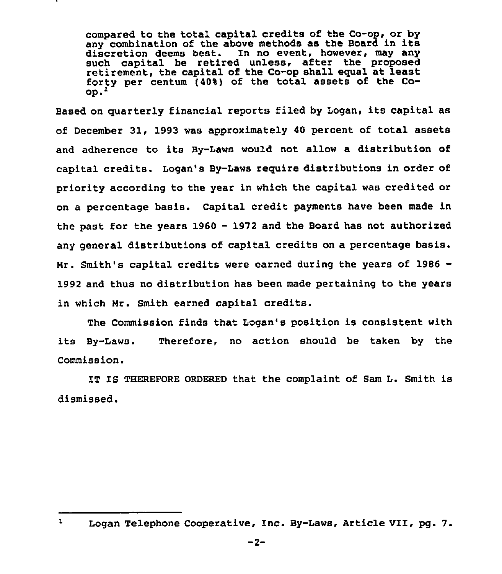compared to the total capital credits of the Co-op, or by any combination of the above methods as the Board in its discretion deems best. In no event, however, may any such capital be retired unless, after the proposed retirement, the capital of the Co-op shall equal at least forty per centum (40%} of the total assets of the Co- $OD.<sup>2</sup>$ 

Based on quarterly financial reports filed by Logan, its capital as of December 31, 1993 was approximateiy 40 percent of total assets and adherence to its By-Laws would not allow a distribution of capital credits. Logan's By-Laws require distributions in order of priority according to the year in which the capital was credited or on a percentage basis. Capital credit payments have been made in the past for the years 1960 - 1972 and the Board has not authorized any general distributions of capital credits on a percentage basis. Mr. Smith's capital credits were earned during the years of 1986— 1992 and thus no distribution has been made pertaining to the years in which Mr. Smith earned capital credits.

The Commission finds that Logan's position is consistent with its By-Laws. Therefore, no action should be taken by the Commission.

IT IS THEREFORE ORDERED that the complaint of Sam L. Smith is dismissed.

 $\mathbf{1}$ Logan Telephone Cooperative, Inc. By-Laws, Article VII, pg. 7.